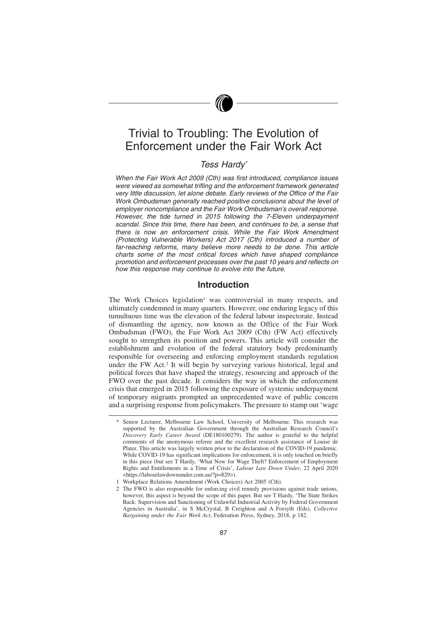# Trivial to Troubling: The Evolution of Enforcement under the Fair Work Act

# *Tess Hardy\**

*When the Fair Work Act 2009 (Cth) was first introduced, compliance issues were viewed as somewhat trifling and the enforcement framework generated very little discussion, let alone debate. Early reviews of the Office of the Fair Work Ombudsman generally reached positive conclusions about the level of employer noncompliance and the Fair Work Ombudsman's overall response. However, the tide turned in 2015 following the 7-Eleven underpayment scandal. Since this time, there has been, and continues to be, a sense that there is now an enforcement crisis. While the Fair Work Amendment (Protecting Vulnerable Workers) Act 2017 (Cth) introduced a number of far-reaching reforms, many believe more needs to be done. This article charts some of the most critical forces which have shaped compliance promotion and enforcement processes over the past 10 years and reflects on how this response may continue to evolve into the future.*

### **Introduction**

The Work Choices legislation<sup>1</sup> was controversial in many respects, and ultimately condemned in many quarters. However, one enduring legacy of this tumultuous time was the elevation of the federal labour inspectorate. Instead of dismantling the agency, now known as the Office of the Fair Work Ombudsman (FWO), the Fair Work Act 2009 (Cth) (FW Act) effectively sought to strengthen its position and powers. This article will consider the establishment and evolution of the federal statutory body predominantly responsible for overseeing and enforcing employment standards regulation under the FW Act.<sup>2</sup> It will begin by surveying various historical, legal and political forces that have shaped the strategy, resourcing and approach of the FWO over the past decade. It considers the way in which the enforcement crisis that emerged in 2015 following the exposure of systemic underpayment of temporary migrants prompted an unprecedented wave of public concern and a surprising response from policymakers. The pressure to stamp out 'wage

Senior Lecturer, Melbourne Law School, University of Melbourne. This research was supported by the Australian Government through the Australian Research Council's *Discovery Early Career Award* (DE180100279). The author is grateful to the helpful comments of the anonymous referee and the excellent research assistance of Louise de Plater. This article was largely written prior to the declaration of the COVID-19 pandemic. While COVID-19 has significant implications for enforcement, it is only touched on briefly in this piece (but see T Hardy, 'What Now for Wage Theft? Enforcement of Employment Rights and Entitlements in a Time of Crisis', *Labour Law Down Under*, 22 April 2020 <https://labourlawdownunder.com.au/?p=829>).

<sup>1</sup> Workplace Relations Amendment (Work Choices) Act 2005 (Cth).

<sup>2</sup> The FWO is also responsible for enforcing civil remedy provisions against trade unions, however, this aspect is beyond the scope of this paper. But see T Hardy, 'The State Strikes Back: Supervision and Sanctioning of Unlawful Industrial Activity by Federal Government Agencies in Australia', in S McCrystal, B Creighton and A Forsyth (Eds), *Collective Bargaining under the Fair Work Act*, Federation Press, Sydney, 2018, p 182.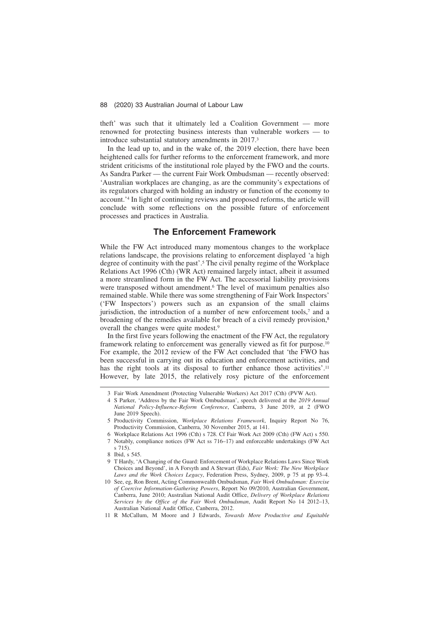theft' was such that it ultimately led a Coalition Government — more renowned for protecting business interests than vulnerable workers — to introduce substantial statutory amendments in 2017.<sup>3</sup>

In the lead up to, and in the wake of, the 2019 election, there have been heightened calls for further reforms to the enforcement framework, and more strident criticisms of the institutional role played by the FWO and the courts. As Sandra Parker — the current Fair Work Ombudsman — recently observed: 'Australian workplaces are changing, as are the community's expectations of its regulators charged with holding an industry or function of the economy to account.'<sup>4</sup> In light of continuing reviews and proposed reforms, the article will conclude with some reflections on the possible future of enforcement processes and practices in Australia.

### **The Enforcement Framework**

While the FW Act introduced many momentous changes to the workplace relations landscape, the provisions relating to enforcement displayed 'a high degree of continuity with the past'.<sup>5</sup> The civil penalty regime of the Workplace Relations Act 1996 (Cth) (WR Act) remained largely intact, albeit it assumed a more streamlined form in the FW Act. The accessorial liability provisions were transposed without amendment.<sup>6</sup> The level of maximum penalties also remained stable. While there was some strengthening of Fair Work Inspectors' ('FW Inspectors') powers such as an expansion of the small claims jurisdiction, the introduction of a number of new enforcement tools,<sup>7</sup> and a broadening of the remedies available for breach of a civil remedy provision,<sup>8</sup> overall the changes were quite modest.<sup>9</sup>

In the first five years following the enactment of the FW Act, the regulatory framework relating to enforcement was generally viewed as fit for purpose.<sup>10</sup> For example, the 2012 review of the FW Act concluded that 'the FWO has been successful in carrying out its education and enforcement activities, and has the right tools at its disposal to further enhance those activities'.<sup>11</sup> However, by late 2015, the relatively rosy picture of the enforcement

<sup>3</sup> Fair Work Amendment (Protecting Vulnerable Workers) Act 2017 (Cth) (PVW Act).

<sup>4</sup> S Parker, 'Address by the Fair Work Ombudsman', speech delivered at the *2019 Annual National Policy-Influence-Reform Conference*, Canberra, 3 June 2019, at 2 (FWO June 2019 Speech).

<sup>5</sup> Productivity Commission, *Workplace Relations Framework*, Inquiry Report No 76, Productivity Commission, Canberra, 30 November 2015, at 141.

<sup>6</sup> Workplace Relations Act 1996 (Cth) s 728. Cf Fair Work Act 2009 (Cth) (FW Act) s 550. 7 Notably, compliance notices (FW Act ss 716–17) and enforceable undertakings (FW Act s 715).

<sup>8</sup> Ibid, s 545.

<sup>9</sup> T Hardy, 'A Changing of the Guard: Enforcement of Workplace Relations Laws Since Work Choices and Beyond', in A Forsyth and A Stewart (Eds), *Fair Work: The New Workplace Laws and the Work Choices Legacy*, Federation Press, Sydney, 2009, p 75 at pp 93–4.

<sup>10</sup> See, eg, Ron Brent, Acting Commonwealth Ombudsman, *Fair Work Ombudsman: Exercise of Coercive Information-Gathering Powers*, Report No 09/2010, Australian Government, Canberra, June 2010; Australian National Audit Office, *Delivery of Workplace Relations Services by the Office of the Fair Work Ombudsman*, Audit Report No 14 2012–13, Australian National Audit Office, Canberra, 2012.

<sup>11</sup> R McCallum, M Moore and J Edwards, *Towards More Productive and Equitable*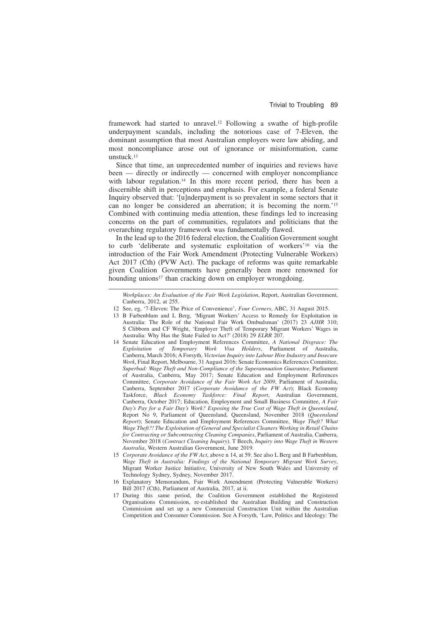framework had started to unravel.<sup>12</sup> Following a swathe of high-profile underpayment scandals, including the notorious case of 7-Eleven, the dominant assumption that most Australian employers were law abiding, and most noncompliance arose out of ignorance or misinformation, came unstuck.<sup>13</sup>

Since that time, an unprecedented number of inquiries and reviews have been — directly or indirectly — concerned with employer noncompliance with labour regulation.<sup>14</sup> In this more recent period, there has been a discernible shift in perceptions and emphasis. For example, a federal Senate Inquiry observed that: '[u]nderpayment is so prevalent in some sectors that it can no longer be considered an aberration; it is becoming the norm.'<sup>15</sup> Combined with continuing media attention, these findings led to increasing concerns on the part of communities, regulators and politicians that the overarching regulatory framework was fundamentally flawed.

In the lead up to the 2016 federal election, the Coalition Government sought to curb 'deliberate and systematic exploitation of workers'<sup>16</sup> via the introduction of the Fair Work Amendment (Protecting Vulnerable Workers) Act 2017 (Cth) (PVW Act). The package of reforms was quite remarkable given Coalition Governments have generally been more renowned for hounding unions<sup>17</sup> than cracking down on employer wrongdoing.

- 13 B Farbenblum and L Berg, 'Migrant Workers' Access to Remedy for Exploitation in Australia: The Role of the National Fair Work Ombudsman' (2017) 23 *AJHR* 310; S Clibborn and CF Wright, 'Employer Theft of Temporary Migrant Workers' Wages in Australia: Why Has the State Failed to Act?' (2018) 29 *ELRR* 207.
- 14 Senate Education and Employment References Committee, *A National Disgrace: The Exploitation of Temporary Work Visa Holders*, Parliament of Australia, Canberra, March 2016; A Forsyth, *Victorian Inquiry into Labour Hire Industry and Insecure Work*, Final Report, Melbourne, 31 August 2016; Senate Economics References Committee, *Superbad: Wage Theft and Non-Compliance of the Superannuation Guarantee*, Parliament of Australia, Canberra, May 2017; Senate Education and Employment References Committee, *Corporate Avoidance of the Fair Work Act 2009*, Parliament of Australia, Canberra, September 2017 (*Corporate Avoidance of the FW Act*); Black Economy Taskforce, *Black Economy Taskforce: Final Report*, Australian Government, Canberra, October 2017; Education, Employment and Small Business Committee, *A Fair Day's Pay for a Fair Day's Work? Exposing the True Cost of Wage Theft in Queensland*, Report No 9, Parliament of Queensland, Queensland, November 2018 (*Queensland Report*); Senate Education and Employment References Committee, *Wage Theft? What Wage Theft?! The Exploitation of General and Specialist Cleaners Working in Retail Chains for Contracting or Subcontracting Cleaning Companies*, Parliament of Australia, Canberra, November 2018 (*Contract Cleaning Inquiry*). T Beech, *Inquiry into Wage Theft in Western Australia*, Western Australian Government, June 2019.
- 15 *Corporate Avoidance of the FW Act*, above n 14, at 59. See also L Berg and B Farbenblum, *Wage Theft in Australia: Findings of the National Temporary Migrant Work Survey*, Migrant Worker Justice Initiative, University of New South Wales and University of Technology Sydney, Sydney, November 2017.
- 16 Explanatory Memorandum, Fair Work Amendment (Protecting Vulnerable Workers) Bill 2017 (Cth), Parliament of Australia, 2017, at ii.
- 17 During this same period, the Coalition Government established the Registered Organisations Commission, re-established the Australian Building and Construction Commission and set up a new Commercial Construction Unit within the Australian Competition and Consumer Commission. See A Forsyth, 'Law, Politics and Ideology: The

*Workplaces: An Evaluation of the Fair Work Legislation*, Report, Australian Government, Canberra, 2012, at 255.

<sup>12</sup> See, eg, '7-Eleven: The Price of Convenience', *Four Corners*, ABC, 31 August 2015.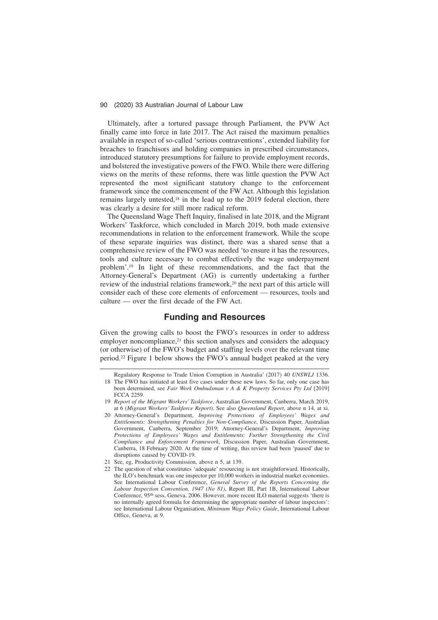Ultimately, after a tortured passage through Parliament, the PVW Act finally came into force in late 2017. The Act raised the maximum penalties available in respect of so-called 'serious contraventions', extended liability for breaches to franchisors and holding companies in prescribed circumstances, introduced statutory presumptions for failure to provide employment records, and bolstered the investigative powers of the FWO. While there were differing views on the merits of these reforms, there was little question the PVW Act represented the most significant statutory change to the enforcement framework since the commencement of the FW Act. Although this legislation remains largely untested,<sup>18</sup> in the lead up to the 2019 federal election, there was clearly a desire for still more radical reform.

The Queensland Wage Theft Inquiry, finalised in late 2018, and the Migrant Workers' Taskforce, which concluded in March 2019, both made extensive recommendations in relation to the enforcement framework. While the scope of these separate inquiries was distinct, there was a shared sense that a comprehensive review of the FWO was needed 'to ensure it has the resources, tools and culture necessary to combat effectively the wage underpayment problem'.<sup>19</sup> In light of these recommendations, and the fact that the Attorney-General's Department (AG) is currently undertaking a further review of the industrial relations framework,<sup>20</sup> the next part of this article will consider each of these core elements of enforcement — resources, tools and culture — over the first decade of the FW Act.

# **Funding and Resources**

Given the growing calls to boost the FWO's resources in order to address employer noncompliance, $21$  this section analyses and considers the adequacy (or otherwise) of the FWO's budget and staffing levels over the relevant time period.<sup>22</sup> Figure 1 below shows the FWO's annual budget peaked at the very

Regulatory Response to Trade Union Corruption in Australia' (2017) 40 *UNSWLJ* 1336. 18 The FWO has initiated at least five cases under these new laws. So far, only one case has

been determined, see *Fair Work Ombudsman v A & K Property Services Pty Ltd* [2019] FCCA 2259.

<sup>19</sup> *Report of the Migrant Workers' Taskforce*, Australian Government, Canberra, March 2019, at 6 (*Migrant Workers' Taskforce Report*). See also *Queensland Report*, above n 14, at xi.

<sup>20</sup> Attorney-General's Department, *Improving Protections of Employees' Wages and Entitlements: Strengthening Penalties for Non-Compliance*, Discussion Paper, Australian Government, Canberra, September 2019; Attorney-General's Department, *Improving Protections of Employees' Wages and Entitlements: Further Strengthening the Civil Compliance and Enforcement Framework*, Discussion Paper, Australian Government, Canberra, 18 February 2020. At the time of writing, this review had been 'paused' due to disruptions caused by COVID-19.

<sup>21</sup> See, eg, Productivity Commission, above n 5, at 139.

<sup>22</sup> The question of what constitutes 'adequate' resourcing is not straightforward. Historically, the ILO's benchmark was one inspector per 10,000 workers in industrial market economies. See International Labour Conference, *General Survey of the Reports Concerning the Labour Inspection Convention, 1947 (No 81)*, Report III, Part 1B, International Labour Conference, 95th sess, Geneva, 2006. However, more recent ILO material suggests 'there is no internally agreed formula for determining the appropriate number of labour inspectors': see International Labour Organisation, *Minimum Wage Policy Guide*, International Labour Office, Geneva, at 9.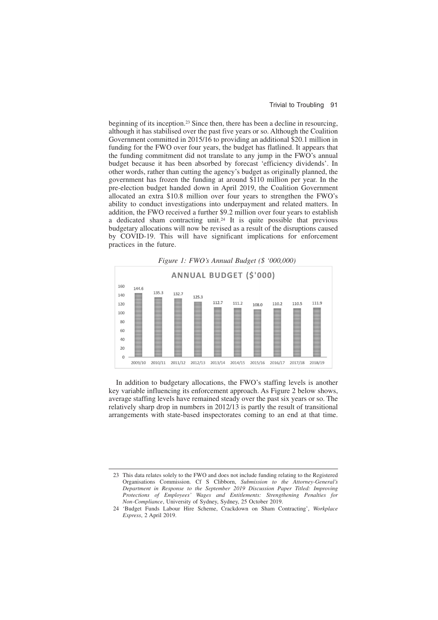beginning of its inception.<sup>23</sup> Since then, there has been a decline in resourcing, although it has stabilised over the past five years or so. Although the Coalition Government committed in 2015/16 to providing an additional \$20.1 million in funding for the FWO over four years, the budget has flatlined. It appears that the funding commitment did not translate to any jump in the FWO's annual budget because it has been absorbed by forecast 'efficiency dividends'. In other words, rather than cutting the agency's budget as originally planned, the government has frozen the funding at around \$110 million per year. In the pre-election budget handed down in April 2019, the Coalition Government allocated an extra \$10.8 million over four years to strengthen the FWO's ability to conduct investigations into underpayment and related matters. In addition, the FWO received a further \$9.2 million over four years to establish a dedicated sham contracting unit.<sup>24</sup> It is quite possible that previous budgetary allocations will now be revised as a result of the disruptions caused by COVID-19. This will have significant implications for enforcement practices in the future.

*Figure 1: FWO's Annual Budget (\$ '000,000)*



In addition to budgetary allocations, the FWO's staffing levels is another key variable influencing its enforcement approach. As Figure 2 below shows, average staffing levels have remained steady over the past six years or so. The relatively sharp drop in numbers in 2012/13 is partly the result of transitional arrangements with state-based inspectorates coming to an end at that time.

<sup>23</sup> This data relates solely to the FWO and does not include funding relating to the Registered Organisations Commission. Cf S Clibborn, *Submission to the Attorney-General's Department in Response to the September 2019 Discussion Paper Titled: Improving Protections of Employees' Wages and Entitlements: Strengthening Penalties for Non-Compliance*, University of Sydney, Sydney, 25 October 2019.

<sup>24 &#</sup>x27;Budget Funds Labour Hire Scheme, Crackdown on Sham Contracting', *Workplace Express*, 2 April 2019.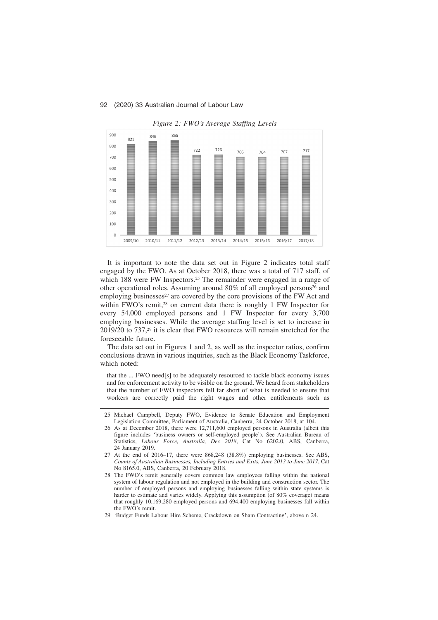

*Figure 2: FWO's Average Staffing Levels*

It is important to note the data set out in Figure 2 indicates total staff engaged by the FWO. As at October 2018, there was a total of 717 staff, of which 188 were FW Inspectors.<sup>25</sup> The remainder were engaged in a range of other operational roles. Assuming around 80% of all employed persons<sup>26</sup> and employing businesses<sup>27</sup> are covered by the core provisions of the FW Act and within FWO's remit,<sup>28</sup> on current data there is roughly 1 FW Inspector for every 54,000 employed persons and 1 FW Inspector for every 3,700 employing businesses. While the average staffing level is set to increase in 2019/20 to 737,<sup>29</sup> it is clear that FWO resources will remain stretched for the foreseeable future.

The data set out in Figures 1 and 2, as well as the inspector ratios, confirm conclusions drawn in various inquiries, such as the Black Economy Taskforce, which noted:

that the ... FWO need[s] to be adequately resourced to tackle black economy issues and for enforcement activity to be visible on the ground. We heard from stakeholders that the number of FWO inspectors fell far short of what is needed to ensure that workers are correctly paid the right wages and other entitlements such as

- 26 As at December 2018, there were 12,711,600 employed persons in Australia (albeit this figure includes 'business owners or self-employed people'). See Australian Bureau of Statistics, *Labour Force, Australia, Dec 2018*, Cat No 6202.0, ABS, Canberra, 24 January 2019.
- 27 At the end of 2016–17, there were 868,248 (38.8%) employing businesses. See ABS, *Counts of Australian Businesses, Including Entries and Exits, June 2013 to June 2017*, Cat No 8165.0, ABS, Canberra, 20 February 2018.
- 28 The FWO's remit generally covers common law employees falling within the national system of labour regulation and not employed in the building and construction sector. The number of employed persons and employing businesses falling within state systems is harder to estimate and varies widely. Applying this assumption (of 80% coverage) means that roughly 10,169,280 employed persons and 694,400 employing businesses fall within the FWO's remit.
- 29 'Budget Funds Labour Hire Scheme, Crackdown on Sham Contracting', above n 24.

<sup>25</sup> Michael Campbell, Deputy FWO, Evidence to Senate Education and Employment Legislation Committee, Parliament of Australia, Canberra, 24 October 2018, at 104.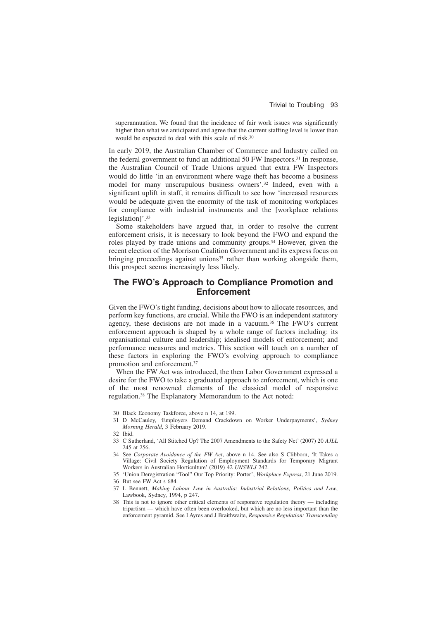superannuation. We found that the incidence of fair work issues was significantly higher than what we anticipated and agree that the current staffing level is lower than would be expected to deal with this scale of risk.<sup>30</sup>

In early 2019, the Australian Chamber of Commerce and Industry called on the federal government to fund an additional 50 FW Inspectors.<sup>31</sup> In response, the Australian Council of Trade Unions argued that extra FW Inspectors would do little 'in an environment where wage theft has become a business model for many unscrupulous business owners'.<sup>32</sup> Indeed, even with a significant uplift in staff, it remains difficult to see how 'increased resources would be adequate given the enormity of the task of monitoring workplaces for compliance with industrial instruments and the [workplace relations legislation]'.<sup>33</sup>

Some stakeholders have argued that, in order to resolve the current enforcement crisis, it is necessary to look beyond the FWO and expand the roles played by trade unions and community groups.<sup>34</sup> However, given the recent election of the Morrison Coalition Government and its express focus on bringing proceedings against unions<sup>35</sup> rather than working alongside them, this prospect seems increasingly less likely.

# **The FWO's Approach to Compliance Promotion and Enforcement**

Given the FWO's tight funding, decisions about how to allocate resources, and perform key functions, are crucial. While the FWO is an independent statutory agency, these decisions are not made in a vacuum.<sup>36</sup> The FWO's current enforcement approach is shaped by a whole range of factors including: its organisational culture and leadership; idealised models of enforcement; and performance measures and metrics. This section will touch on a number of these factors in exploring the FWO's evolving approach to compliance promotion and enforcement.<sup>37</sup>

When the FW Act was introduced, the then Labor Government expressed a desire for the FWO to take a graduated approach to enforcement, which is one of the most renowned elements of the classical model of responsive regulation.<sup>38</sup> The Explanatory Memorandum to the Act noted:

<sup>30</sup> Black Economy Taskforce, above n 14, at 199.

<sup>31</sup> D McCauley, 'Employers Demand Crackdown on Worker Underpayments', *Sydney Morning Herald*, 3 February 2019.

<sup>32</sup> Ibid.

<sup>33</sup> C Sutherland, 'All Stitched Up? The 2007 Amendments to the Safety Net' (2007) 20 *AJLL* 245 at 256.

<sup>34</sup> See *Corporate Avoidance of the FW Act*, above n 14. See also S Clibborn, 'It Takes a Village: Civil Society Regulation of Employment Standards for Temporary Migrant Workers in Australian Horticulture' (2019) 42 *UNSWLJ* 242.

<sup>35 &#</sup>x27;Union Deregistration "Tool" Our Top Priority: Porter', *Workplace Express*, 21 June 2019.

<sup>36</sup> But see FW Act s 684.

<sup>37</sup> L Bennett, *Making Labour Law in Australia: Industrial Relations, Politics and Law*, Lawbook, Sydney, 1994, p 247.

<sup>38</sup> This is not to ignore other critical elements of responsive regulation theory — including tripartism — which have often been overlooked, but which are no less important than the enforcement pyramid. See I Ayres and J Braithwaite, *Responsive Regulation: Transcending*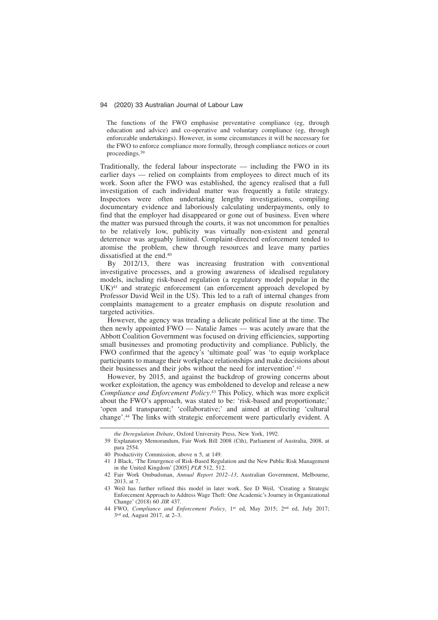The functions of the FWO emphasise preventative compliance (eg, through education and advice) and co-operative and voluntary compliance (eg, through enforceable undertakings). However, in some circumstances it will be necessary for the FWO to enforce compliance more formally, through compliance notices or court proceedings.<sup>39</sup>

Traditionally, the federal labour inspectorate — including the FWO in its earlier days — relied on complaints from employees to direct much of its work. Soon after the FWO was established, the agency realised that a full investigation of each individual matter was frequently a futile strategy. Inspectors were often undertaking lengthy investigations, compiling documentary evidence and laboriously calculating underpayments, only to find that the employer had disappeared or gone out of business. Even where the matter was pursued through the courts, it was not uncommon for penalties to be relatively low, publicity was virtually non-existent and general deterrence was arguably limited. Complaint-directed enforcement tended to atomise the problem, chew through resources and leave many parties dissatisfied at the end.<sup>40</sup>

By 2012/13, there was increasing frustration with conventional investigative processes, and a growing awareness of idealised regulatory models, including risk-based regulation (a regulatory model popular in the UK)<sup>41</sup> and strategic enforcement (an enforcement approach developed by Professor David Weil in the US). This led to a raft of internal changes from complaints management to a greater emphasis on dispute resolution and targeted activities.

However, the agency was treading a delicate political line at the time. The then newly appointed FWO — Natalie James — was acutely aware that the Abbott Coalition Government was focused on driving efficiencies, supporting small businesses and promoting productivity and compliance. Publicly, the FWO confirmed that the agency's 'ultimate goal' was 'to equip workplace participants to manage their workplace relationships and make decisions about their businesses and their jobs without the need for intervention'.<sup>42</sup>

However, by 2015, and against the backdrop of growing concerns about worker exploitation, the agency was emboldened to develop and release a new *Compliance and Enforcement Policy*. <sup>43</sup> This Policy, which was more explicit about the FWO's approach, was stated to be: 'risk-based and proportionate;' 'open and transparent;' 'collaborative;' and aimed at effecting 'cultural change'.<sup>44</sup> The links with strategic enforcement were particularly evident. A

*the Deregulation Debate*, Oxford University Press, New York, 1992.

<sup>39</sup> Explanatory Memorandum, Fair Work Bill 2008 (Cth), Parliament of Australia, 2008, at para 2554.

<sup>40</sup> Productivity Commission, above n 5, at 149.

<sup>41</sup> J Black, 'The Emergence of Risk-Based Regulation and the New Public Risk Management in the United Kingdom' [2005] *PLR* 512, 512.

<sup>42</sup> Fair Work Ombudsman, *Annual Report 2012–13*, Australian Government, Melbourne, 2013, at 7.

<sup>43</sup> Weil has further refined this model in later work. See D Weil, 'Creating a Strategic Enforcement Approach to Address Wage Theft: One Academic's Journey in Organizational Change' (2018) 60 *JIR* 437.

<sup>44</sup> FWO, *Compliance and Enforcement Policy*, 1st ed, May 2015; 2nd ed, July 2017; 3 rd ed, August 2017, at 2–3.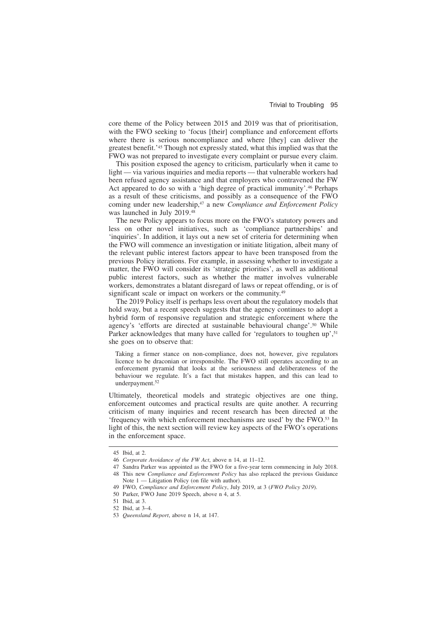core theme of the Policy between 2015 and 2019 was that of prioritisation, with the FWO seeking to 'focus [their] compliance and enforcement efforts where there is serious noncompliance and where [they] can deliver the greatest benefit.'<sup>45</sup> Though not expressly stated, what this implied was that the FWO was not prepared to investigate every complaint or pursue every claim.

This position exposed the agency to criticism, particularly when it came to light — via various inquiries and media reports — that vulnerable workers had been refused agency assistance and that employers who contravened the FW Act appeared to do so with a 'high degree of practical immunity'.<sup>46</sup> Perhaps as a result of these criticisms, and possibly as a consequence of the FWO coming under new leadership,<sup>47</sup> a new *Compliance and Enforcement Policy* was launched in July 2019.<sup>48</sup>

The new Policy appears to focus more on the FWO's statutory powers and less on other novel initiatives, such as 'compliance partnerships' and 'inquiries'. In addition, it lays out a new set of criteria for determining when the FWO will commence an investigation or initiate litigation, albeit many of the relevant public interest factors appear to have been transposed from the previous Policy iterations. For example, in assessing whether to investigate a matter, the FWO will consider its 'strategic priorities', as well as additional public interest factors, such as whether the matter involves vulnerable workers, demonstrates a blatant disregard of laws or repeat offending, or is of significant scale or impact on workers or the community.<sup>49</sup>

The 2019 Policy itself is perhaps less overt about the regulatory models that hold sway, but a recent speech suggests that the agency continues to adopt a hybrid form of responsive regulation and strategic enforcement where the agency's 'efforts are directed at sustainable behavioural change'.<sup>50</sup> While Parker acknowledges that many have called for 'regulators to toughen up',<sup>51</sup> she goes on to observe that:

Taking a firmer stance on non-compliance, does not, however, give regulators licence to be draconian or irresponsible. The FWO still operates according to an enforcement pyramid that looks at the seriousness and deliberateness of the behaviour we regulate. It's a fact that mistakes happen, and this can lead to underpayment.<sup>52</sup>

Ultimately, theoretical models and strategic objectives are one thing, enforcement outcomes and practical results are quite another. A recurring criticism of many inquiries and recent research has been directed at the 'frequency with which enforcement mechanisms are used' by the FWO.<sup>53</sup> In light of this, the next section will review key aspects of the FWO's operations in the enforcement space.

<sup>45</sup> Ibid, at 2.

<sup>46</sup> *Corporate Avoidance of the FW Act*, above n 14, at 11–12.

<sup>47</sup> Sandra Parker was appointed as the FWO for a five-year term commencing in July 2018.

<sup>48</sup> This new *Compliance and Enforcement Policy* has also replaced the previous Guidance Note 1 — Litigation Policy (on file with author).

<sup>49</sup> FWO, *Compliance and Enforcement Policy*, July 2019, at 3 (*FWO Policy 2019*).

<sup>50</sup> Parker, FWO June 2019 Speech, above n 4, at 5.

<sup>51</sup> Ibid, at 3.

<sup>52</sup> Ibid, at 3–4.

<sup>53</sup> *Queensland Report*, above n 14, at 147.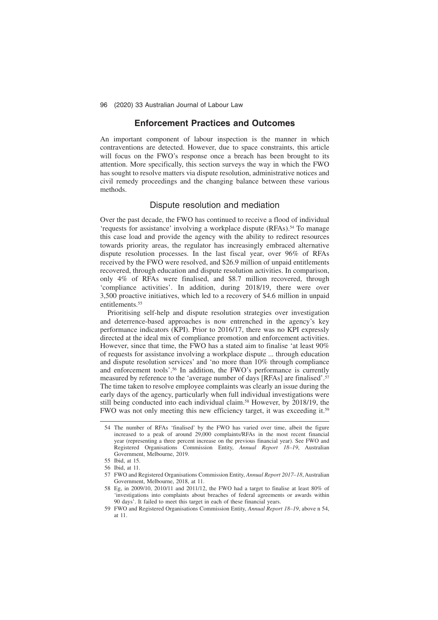### **Enforcement Practices and Outcomes**

An important component of labour inspection is the manner in which contraventions are detected. However, due to space constraints, this article will focus on the FWO's response once a breach has been brought to its attention. More specifically, this section surveys the way in which the FWO has sought to resolve matters via dispute resolution, administrative notices and civil remedy proceedings and the changing balance between these various methods.

### Dispute resolution and mediation

Over the past decade, the FWO has continued to receive a flood of individual 'requests for assistance' involving a workplace dispute (RFAs).<sup>54</sup> To manage this case load and provide the agency with the ability to redirect resources towards priority areas, the regulator has increasingly embraced alternative dispute resolution processes. In the last fiscal year, over 96% of RFAs received by the FWO were resolved, and \$26.9 million of unpaid entitlements recovered, through education and dispute resolution activities. In comparison, only 4% of RFAs were finalised, and \$8.7 million recovered, through 'compliance activities'. In addition, during 2018/19, there were over 3,500 proactive initiatives, which led to a recovery of \$4.6 million in unpaid entitlements.<sup>55</sup>

Prioritising self-help and dispute resolution strategies over investigation and deterrence-based approaches is now entrenched in the agency's key performance indicators (KPI). Prior to 2016/17, there was no KPI expressly directed at the ideal mix of compliance promotion and enforcement activities. However, since that time, the FWO has a stated aim to finalise 'at least 90% of requests for assistance involving a workplace dispute ... through education and dispute resolution services' and 'no more than 10% through compliance and enforcement tools'.<sup>56</sup> In addition, the FWO's performance is currently measured by reference to the 'average number of days [RFAs] are finalised'.<sup>57</sup> The time taken to resolve employee complaints was clearly an issue during the early days of the agency, particularly when full individual investigations were still being conducted into each individual claim.<sup>58</sup> However, by 2018/19, the FWO was not only meeting this new efficiency target, it was exceeding it.<sup>59</sup>

<sup>54</sup> The number of RFAs 'finalised' by the FWO has varied over time, albeit the figure increased to a peak of around 29,000 complaints/RFAs in the most recent financial year (representing a three percent increase on the previous financial year). See FWO and Registered Organisations Commission Entity, *Annual Report 18–19*, Australian Government, Melbourne, 2019.

<sup>55</sup> Ibid, at 15.

<sup>56</sup> Ibid, at 11.

<sup>57</sup> FWO and Registered Organisations Commission Entity, *Annual Report 2017–18*, Australian Government, Melbourne, 2018, at 11.

<sup>58</sup> Eg, in 2009/10, 2010/11 and 2011/12, the FWO had a target to finalise at least 80% of 'investigations into complaints about breaches of federal agreements or awards within 90 days'. It failed to meet this target in each of these financial years.

<sup>59</sup> FWO and Registered Organisations Commission Entity, *Annual Report 18–19*, above n 54, at 11.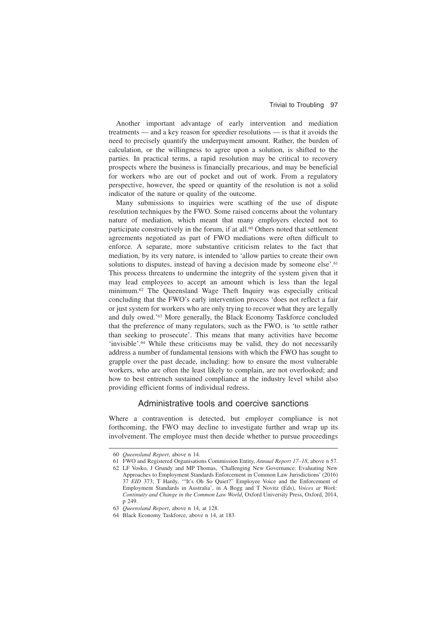Another important advantage of early intervention and mediation treatments — and a key reason for speedier resolutions — is that it avoids the need to precisely quantify the underpayment amount. Rather, the burden of calculation, or the willingness to agree upon a solution, is shifted to the parties. In practical terms, a rapid resolution may be critical to recovery prospects where the business is financially precarious, and may be beneficial for workers who are out of pocket and out of work. From a regulatory perspective, however, the speed or quantity of the resolution is not a solid indicator of the nature or quality of the outcome.

Many submissions to inquiries were scathing of the use of dispute resolution techniques by the FWO. Some raised concerns about the voluntary nature of mediation, which meant that many employers elected not to participate constructively in the forum, if at all.<sup>60</sup> Others noted that settlement agreements negotiated as part of FWO mediations were often difficult to enforce. A separate, more substantive criticism relates to the fact that mediation, by its very nature, is intended to 'allow parties to create their own solutions to disputes, instead of having a decision made by someone else'.<sup>61</sup> This process threatens to undermine the integrity of the system given that it may lead employees to accept an amount which is less than the legal minimum.<sup>62</sup> The Queensland Wage Theft Inquiry was especially critical concluding that the FWO's early intervention process 'does not reflect a fair or just system for workers who are only trying to recover what they are legally and duly owed.'<sup>63</sup> More generally, the Black Economy Taskforce concluded that the preference of many regulators, such as the FWO, is 'to settle rather than seeking to prosecute'. This means that many activities have become 'invisible'.<sup>64</sup> While these criticisms may be valid, they do not necessarily address a number of fundamental tensions with which the FWO has sought to grapple over the past decade, including: how to ensure the most vulnerable workers, who are often the least likely to complain, are not overlooked; and how to best entrench sustained compliance at the industry level whilst also providing efficient forms of individual redress.

### Administrative tools and coercive sanctions

Where a contravention is detected, but employer compliance is not forthcoming, the FWO may decline to investigate further and wrap up its involvement. The employee must then decide whether to pursue proceedings

<sup>60</sup> *Queensland Report*, above n 14.

<sup>61</sup> FWO and Registered Organisations Commission Entity, *Annual Report 17–18*, above n 57.

<sup>62</sup> LF Vosko, J Grundy and MP Thomas, 'Challenging New Governance: Evaluating New Approaches to Employment Standards Enforcement in Common Law Jurisdictions' (2016) 37 *EID* 373; T Hardy, '"It's Oh So Quiet?" Employee Voice and the Enforcement of Employment Standards in Australia', in A Bogg and T Novitz (Eds), *Voices at Work: Continuity and Change in the Common Law World*, Oxford University Press, Oxford, 2014, p 249.

<sup>63</sup> *Queensland Report*, above n 14, at 128.

<sup>64</sup> Black Economy Taskforce, above n 14, at 183.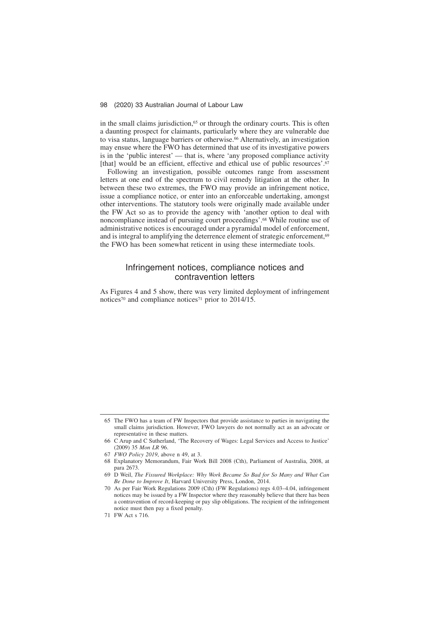in the small claims jurisdiction,<sup>65</sup> or through the ordinary courts. This is often a daunting prospect for claimants, particularly where they are vulnerable due to visa status, language barriers or otherwise.<sup>66</sup> Alternatively, an investigation may ensue where the FWO has determined that use of its investigative powers is in the 'public interest' — that is, where 'any proposed compliance activity [that] would be an efficient, effective and ethical use of public resources'.<sup>67</sup>

Following an investigation, possible outcomes range from assessment letters at one end of the spectrum to civil remedy litigation at the other. In between these two extremes, the FWO may provide an infringement notice, issue a compliance notice, or enter into an enforceable undertaking, amongst other interventions. The statutory tools were originally made available under the FW Act so as to provide the agency with 'another option to deal with noncompliance instead of pursuing court proceedings'.<sup>68</sup> While routine use of administrative notices is encouraged under a pyramidal model of enforcement, and is integral to amplifying the deterrence element of strategic enforcement,<sup>69</sup> the FWO has been somewhat reticent in using these intermediate tools.

### Infringement notices, compliance notices and contravention letters

As Figures 4 and 5 show, there was very limited deployment of infringement notices<sup>70</sup> and compliance notices<sup>71</sup> prior to 2014/15.

- 67 *FWO Policy 2019*, above n 49, at 3.
- 68 Explanatory Memorandum, Fair Work Bill 2008 (Cth), Parliament of Australia, 2008, at para 2673.
- 69 D Weil, *The Fissured Workplace: Why Work Became So Bad for So Many and What Can Be Done to Improve It*, Harvard University Press, London, 2014.
- 70 As per Fair Work Regulations 2009 (Cth) (FW Regulations) regs 4.03–4.04, infringement notices may be issued by a FW Inspector where they reasonably believe that there has been a contravention of record-keeping or pay slip obligations. The recipient of the infringement notice must then pay a fixed penalty.
- 71 FW Act s 716.

<sup>65</sup> The FWO has a team of FW Inspectors that provide assistance to parties in navigating the small claims jurisdiction. However, FWO lawyers do not normally act as an advocate or representative in these matters.

<sup>66</sup> C Arup and C Sutherland, 'The Recovery of Wages: Legal Services and Access to Justice' (2009) 35 *Mon LR* 96.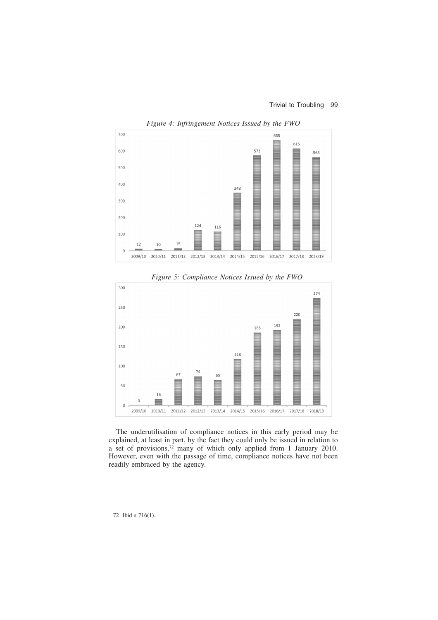

*Figure 4: Infringement Notices Issued by the FWO*



*Figure 5: Compliance Notices Issued by the FWO*

The underutilisation of compliance notices in this early period may be explained, at least in part, by the fact they could only be issued in relation to a set of provisions,<sup>72</sup> many of which only applied from 1 January 2010. However, even with the passage of time, compliance notices have not been readily embraced by the agency.

<sup>72</sup> Ibid s 716(1).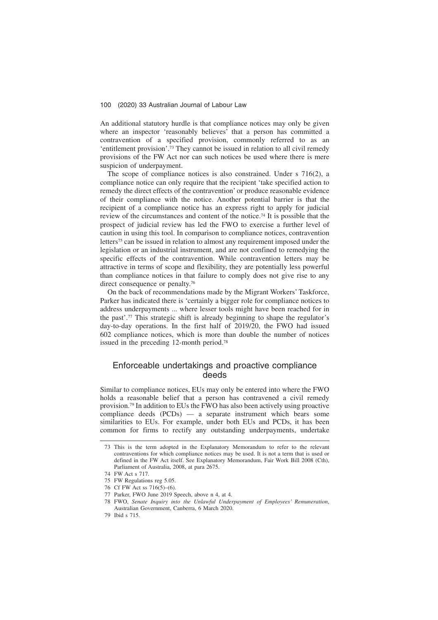An additional statutory hurdle is that compliance notices may only be given where an inspector 'reasonably believes' that a person has committed a contravention of a specified provision, commonly referred to as an 'entitlement provision'.<sup>73</sup> They cannot be issued in relation to all civil remedy provisions of the FW Act nor can such notices be used where there is mere suspicion of underpayment.

The scope of compliance notices is also constrained. Under s 716(2), a compliance notice can only require that the recipient 'take specified action to remedy the direct effects of the contravention' or produce reasonable evidence of their compliance with the notice. Another potential barrier is that the recipient of a compliance notice has an express right to apply for judicial review of the circumstances and content of the notice.<sup>74</sup> It is possible that the prospect of judicial review has led the FWO to exercise a further level of caution in using this tool. In comparison to compliance notices, contravention letters<sup>75</sup> can be issued in relation to almost any requirement imposed under the legislation or an industrial instrument, and are not confined to remedying the specific effects of the contravention. While contravention letters may be attractive in terms of scope and flexibility, they are potentially less powerful than compliance notices in that failure to comply does not give rise to any direct consequence or penalty.<sup>76</sup>

On the back of recommendations made by the Migrant Workers' Taskforce, Parker has indicated there is 'certainly a bigger role for compliance notices to address underpayments ... where lesser tools might have been reached for in the past'.<sup>77</sup> This strategic shift is already beginning to shape the regulator's day-to-day operations. In the first half of 2019/20, the FWO had issued 602 compliance notices, which is more than double the number of notices issued in the preceding 12-month period.<sup>78</sup>

# Enforceable undertakings and proactive compliance deeds

Similar to compliance notices, EUs may only be entered into where the FWO holds a reasonable belief that a person has contravened a civil remedy provision.<sup>79</sup> In addition to EUs the FWO has also been actively using proactive compliance deeds (PCDs) — a separate instrument which bears some similarities to EUs. For example, under both EUs and PCDs, it has been common for firms to rectify any outstanding underpayments, undertake

<sup>73</sup> This is the term adopted in the Explanatory Memorandum to refer to the relevant contraventions for which compliance notices may be used. It is not a term that is used or defined in the FW Act itself. See Explanatory Memorandum, Fair Work Bill 2008 (Cth), Parliament of Australia, 2008, at para 2675.

<sup>74</sup> FW Act s 717.

<sup>75</sup> FW Regulations reg 5.05.

<sup>76</sup> Cf FW Act ss 716(5)–(6).

<sup>77</sup> Parker, FWO June 2019 Speech, above n 4, at 4.

<sup>78</sup> FWO, *Senate Inquiry into the Unlawful Underpayment of Employees' Remuneration*, Australian Government, Canberra, 6 March 2020.

<sup>79</sup> Ibid s 715.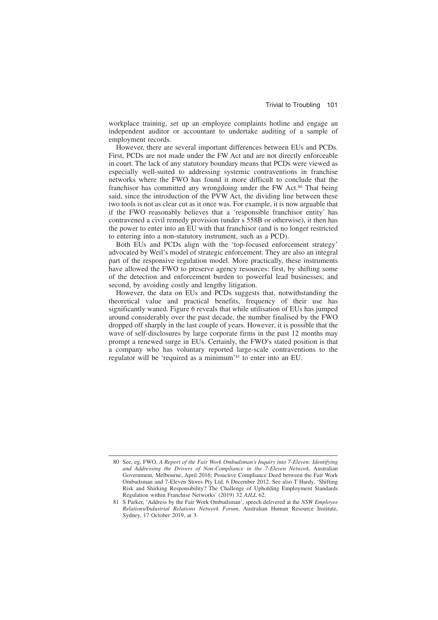workplace training, set up an employee complaints hotline and engage an independent auditor or accountant to undertake auditing of a sample of employment records.

However, there are several important differences between EUs and PCDs. First, PCDs are not made under the FW Act and are not directly enforceable in court. The lack of any statutory boundary means that PCDs were viewed as especially well-suited to addressing systemic contraventions in franchise networks where the FWO has found it more difficult to conclude that the franchisor has committed any wrongdoing under the FW Act.<sup>80</sup> That being said, since the introduction of the PVW Act, the dividing line between these two tools is not as clear cut as it once was. For example, it is now arguable that if the FWO reasonably believes that a 'responsible franchisor entity' has contravened a civil remedy provision (under s 558B or otherwise), it then has the power to enter into an EU with that franchisor (and is no longer restricted to entering into a non-statutory instrument, such as a PCD).

Both EUs and PCDs align with the 'top-focused enforcement strategy' advocated by Weil's model of strategic enforcement. They are also an integral part of the responsive regulation model. More practically, these instruments have allowed the FWO to preserve agency resources: first, by shifting some of the detection and enforcement burden to powerful lead businesses; and second, by avoiding costly and lengthy litigation.

However, the data on EUs and PCDs suggests that, notwithstanding the theoretical value and practical benefits, frequency of their use has significantly waned. Figure 6 reveals that while utilisation of EUs has jumped around considerably over the past decade, the number finalised by the FWO dropped off sharply in the last couple of years. However, it is possible that the wave of self-disclosures by large corporate firms in the past 12 months may prompt a renewed surge in EUs. Certainly, the FWO's stated position is that a company who has voluntary reported large-scale contraventions to the regulator will be 'required as a minimum'<sup>81</sup> to enter into an EU.

<sup>80</sup> See, eg, FWO, *A Report of the Fair Work Ombudsman's Inquiry into 7-Eleven: Identifying and Addressing the Drivers of Non-Compliance in the 7-Eleven Network*, Australian Government, Melbourne, April 2016; Proactive Compliance Deed between the Fair Work Ombudsman and 7-Eleven Stores Pty Ltd, 6 December 2012. See also T Hardy, 'Shifting Risk and Shirking Responsibility? The Challenge of Upholding Employment Standards Regulation within Franchise Networks' (2019) 32 *AJLL* 62.

<sup>81</sup> S Parker, 'Address by the Fair Work Ombudsman', speech delivered at the *NSW Employee Relations/Industrial Relations Network Forum*, Australian Human Resource Institute, Sydney, 17 October 2019, at 3.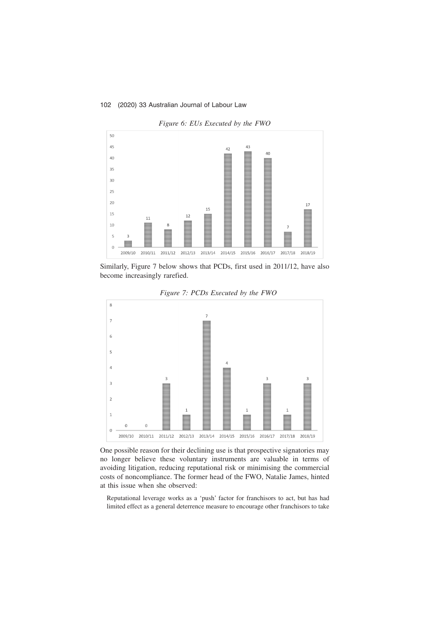

*Figure 6: EUs Executed by the FWO*

Similarly, Figure 7 below shows that PCDs, first used in 2011/12, have also become increasingly rarefied.



*Figure 7: PCDs Executed by the FWO*

One possible reason for their declining use is that prospective signatories may no longer believe these voluntary instruments are valuable in terms of avoiding litigation, reducing reputational risk or minimising the commercial costs of noncompliance. The former head of the FWO, Natalie James, hinted at this issue when she observed:

Reputational leverage works as a 'push' factor for franchisors to act, but has had limited effect as a general deterrence measure to encourage other franchisors to take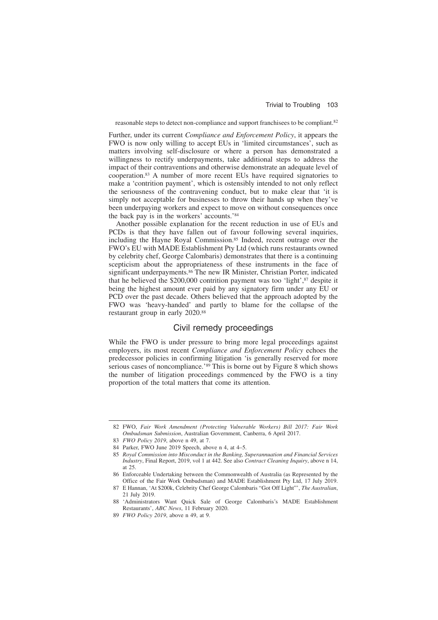reasonable steps to detect non-compliance and support franchisees to be compliant.<sup>82</sup>

Further, under its current *Compliance and Enforcement Policy*, it appears the FWO is now only willing to accept EUs in 'limited circumstances', such as matters involving self-disclosure or where a person has demonstrated a willingness to rectify underpayments, take additional steps to address the impact of their contraventions and otherwise demonstrate an adequate level of cooperation.<sup>83</sup> A number of more recent EUs have required signatories to make a 'contrition payment', which is ostensibly intended to not only reflect the seriousness of the contravening conduct, but to make clear that 'it is simply not acceptable for businesses to throw their hands up when they've been underpaying workers and expect to move on without consequences once the back pay is in the workers' accounts.'<sup>84</sup>

Another possible explanation for the recent reduction in use of EUs and PCDs is that they have fallen out of favour following several inquiries, including the Hayne Royal Commission.<sup>85</sup> Indeed, recent outrage over the FWO's EU with MADE Establishment Pty Ltd (which runs restaurants owned by celebrity chef, George Calombaris) demonstrates that there is a continuing scepticism about the appropriateness of these instruments in the face of significant underpayments.<sup>86</sup> The new IR Minister, Christian Porter, indicated that he believed the  $$200,000$  contrition payment was too 'light', $$^{87}$  despite it being the highest amount ever paid by any signatory firm under any EU or PCD over the past decade. Others believed that the approach adopted by the FWO was 'heavy-handed' and partly to blame for the collapse of the restaurant group in early 2020.<sup>88</sup>

# Civil remedy proceedings

While the FWO is under pressure to bring more legal proceedings against employers, its most recent *Compliance and Enforcement Policy* echoes the predecessor policies in confirming litigation 'is generally reserved for more serious cases of noncompliance.'<sup>89</sup> This is borne out by Figure 8 which shows the number of litigation proceedings commenced by the FWO is a tiny proportion of the total matters that come its attention.

<sup>82</sup> FWO, *Fair Work Amendment (Protecting Vulnerable Workers) Bill 2017: Fair Work Ombudsman Submission*, Australian Government, Canberra, 6 April 2017.

<sup>83</sup> *FWO Policy 2019*, above n 49, at 7.

<sup>84</sup> Parker, FWO June 2019 Speech, above n 4, at 4–5.

<sup>85</sup> *Royal Commission into Misconduct in the Banking, Superannuation and Financial Services Industry*, Final Report, 2019, vol 1 at 442. See also *Contract Cleaning Inquiry*, above n 14, at 25.

<sup>86</sup> Enforceable Undertaking between the Commonwealth of Australia (as Represented by the Office of the Fair Work Ombudsman) and MADE Establishment Pty Ltd, 17 July 2019.

<sup>87</sup> E Hannan, 'At \$200k, Celebrity Chef George Calombaris "Got Off Light"', *The Australian*, 21 July 2019.

<sup>88 &#</sup>x27;Administrators Want Quick Sale of George Calombaris's MADE Establishment Restaurants', *ABC News*, 11 February 2020.

<sup>89</sup> *FWO Policy 2019*, above n 49, at 9.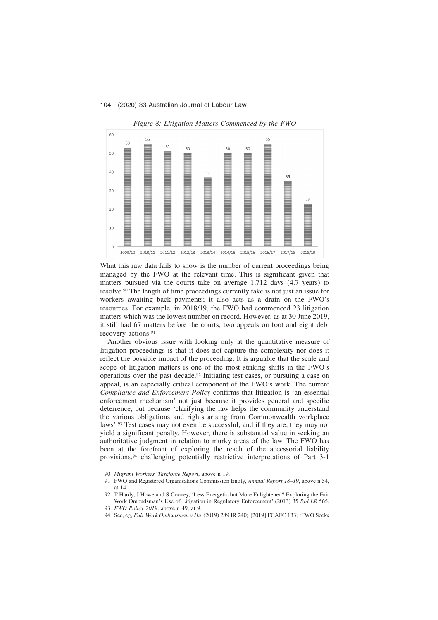

*Figure 8: Litigation Matters Commenced by the FWO*

What this raw data fails to show is the number of current proceedings being managed by the FWO at the relevant time. This is significant given that matters pursued via the courts take on average 1,712 days (4.7 years) to resolve.<sup>90</sup> The length of time proceedings currently take is not just an issue for workers awaiting back payments; it also acts as a drain on the FWO's resources. For example, in 2018/19, the FWO had commenced 23 litigation matters which was the lowest number on record. However, as at 30 June 2019, it still had 67 matters before the courts, two appeals on foot and eight debt recovery actions.<sup>91</sup>

Another obvious issue with looking only at the quantitative measure of litigation proceedings is that it does not capture the complexity nor does it reflect the possible impact of the proceeding. It is arguable that the scale and scope of litigation matters is one of the most striking shifts in the FWO's operations over the past decade.<sup>92</sup> Initiating test cases, or pursuing a case on appeal, is an especially critical component of the FWO's work. The current *Compliance and Enforcement Policy* confirms that litigation is 'an essential enforcement mechanism' not just because it provides general and specific deterrence, but because 'clarifying the law helps the community understand the various obligations and rights arising from Commonwealth workplace laws'.<sup>93</sup> Test cases may not even be successful, and if they are, they may not yield a significant penalty. However, there is substantial value in seeking an authoritative judgment in relation to murky areas of the law. The FWO has been at the forefront of exploring the reach of the accessorial liability provisions,<sup>94</sup> challenging potentially restrictive interpretations of Part 3-1

94 See, eg, *Fair Work Ombudsman v Hu* (2019) 289 IR 240; [2019] FCAFC 133; 'FWO Seeks

<sup>90</sup> *Migrant Workers' Taskforce Report*, above n 19.

<sup>91</sup> FWO and Registered Organisations Commission Entity, *Annual Report 18–19*, above n 54, at 14.

<sup>92</sup> T Hardy, J Howe and S Cooney, 'Less Energetic but More Enlightened? Exploring the Fair Work Ombudsman's Use of Litigation in Regulatory Enforcement' (2013) 35 *Syd LR* 565.

<sup>93</sup> *FWO Policy 2019*, above n 49, at 9.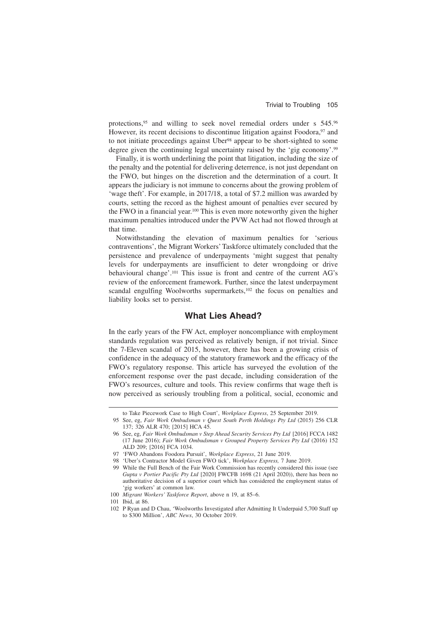protections,<sup>95</sup> and willing to seek novel remedial orders under s 545.<sup>96</sup> However, its recent decisions to discontinue litigation against Foodora,<sup>97</sup> and to not initiate proceedings against Uber<sup>98</sup> appear to be short-sighted to some degree given the continuing legal uncertainty raised by the 'gig economy'.<sup>99</sup>

Finally, it is worth underlining the point that litigation, including the size of the penalty and the potential for delivering deterrence, is not just dependant on the FWO, but hinges on the discretion and the determination of a court. It appears the judiciary is not immune to concerns about the growing problem of 'wage theft'. For example, in 2017/18, a total of \$7.2 million was awarded by courts, setting the record as the highest amount of penalties ever secured by the FWO in a financial year.<sup>100</sup> This is even more noteworthy given the higher maximum penalties introduced under the PVW Act had not flowed through at that time.

Notwithstanding the elevation of maximum penalties for 'serious contraventions', the Migrant Workers' Taskforce ultimately concluded that the persistence and prevalence of underpayments 'might suggest that penalty levels for underpayments are insufficient to deter wrongdoing or drive behavioural change'.<sup>101</sup> This issue is front and centre of the current AG's review of the enforcement framework. Further, since the latest underpayment scandal engulfing Woolworths supermarkets,<sup>102</sup> the focus on penalties and liability looks set to persist.

### **What Lies Ahead?**

In the early years of the FW Act, employer noncompliance with employment standards regulation was perceived as relatively benign, if not trivial. Since the 7-Eleven scandal of 2015, however, there has been a growing crisis of confidence in the adequacy of the statutory framework and the efficacy of the FWO's regulatory response. This article has surveyed the evolution of the enforcement response over the past decade, including consideration of the FWO's resources, culture and tools. This review confirms that wage theft is now perceived as seriously troubling from a political, social, economic and

to Take Piecework Case to High Court', *Workplace Express*, 25 September 2019.

<sup>95</sup> See, eg, *Fair Work Ombudsman v Quest South Perth Holdings Pty Ltd* (2015) 256 CLR 137; 326 ALR 470; [2015] HCA 45.

<sup>96</sup> See, eg, *Fair Work Ombudsman v Step Ahead Security Services Pty Ltd* [2016] FCCA 1482 (17 June 2016); *Fair Work Ombudsman v Grouped Property Services Pty Ltd* (2016) 152 ALD 209; [2016] FCA 1034.

<sup>97 &#</sup>x27;FWO Abandons Foodora Pursuit', *Workplace Express*, 21 June 2019.

<sup>98 &#</sup>x27;Uber's Contractor Model Given FWO tick', *Workplace Express,* 7 June 2019.

<sup>99</sup> While the Full Bench of the Fair Work Commission has recently considered this issue (see *Gupta v Portier Pacific Pty Ltd* [2020] FWCFB 1698 (21 April 2020)), there has been no authoritative decision of a superior court which has considered the employment status of 'gig workers' at common law.

<sup>100</sup> *Migrant Workers' Taskforce Report*, above n 19, at 85–6.

<sup>101</sup> Ibid, at 86.

<sup>102</sup> P Ryan and D Chau, 'Woolworths Investigated after Admitting It Underpaid 5,700 Staff up to \$300 Million', *ABC News*, 30 October 2019.